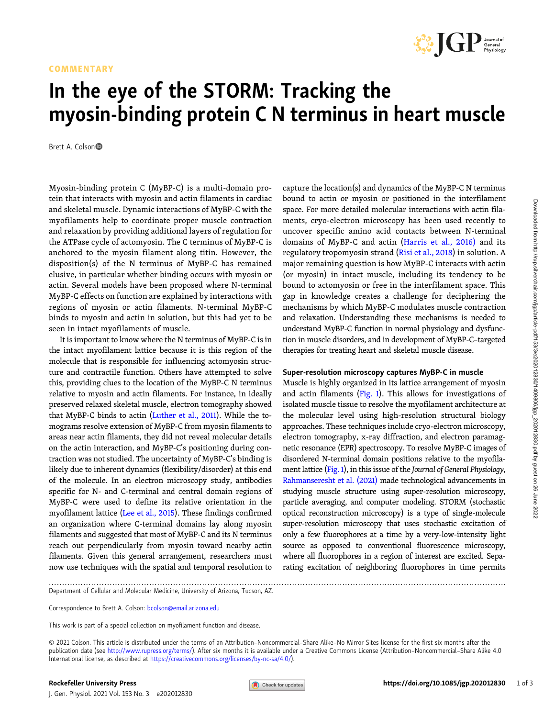### COMMENTARY



# In the eye of the STORM: Tracking the myosin-binding protein C N terminus in heart muscle

Brett A. Colson

Myosin-binding protein C (MyBP-C) is a multi-domain protein that interacts with myosin and actin filaments in cardiac and skeletal muscle. Dynamic interactions of MyBP-C with the myofilaments help to coordinate proper muscle contraction and relaxation by providing additional layers of regulation for the ATPase cycle of actomyosin. The C terminus of MyBP-C is anchored to the myosin filament along titin. However, the disposition(s) of the N terminus of MyBP-C has remained elusive, in particular whether binding occurs with myosin or actin. Several models have been proposed where N-terminal MyBP-C effects on function are explained by interactions with regions of myosin or actin filaments. N-terminal MyBP-C binds to myosin and actin in solution, but this had yet to be seen in intact myofilaments of muscle.

It is important to know where the N terminus of MyBP-C is in the intact myofilament lattice because it is this region of the molecule that is responsible for influencing actomyosin structure and contractile function. Others have attempted to solve this, providing clues to the location of the MyBP-C N terminus relative to myosin and actin filaments. For instance, in ideally preserved relaxed skeletal muscle, electron tomography showed that MyBP-C binds to actin [\(Luther et al., 2011\)](#page-2-0). While the tomograms resolve extension of MyBP-C from myosin filaments to areas near actin filaments, they did not reveal molecular details on the actin interaction, and MyBP-C's positioning during contraction was not studied. The uncertainty of MyBP-C's binding is likely due to inherent dynamics (flexibility/disorder) at this end of the molecule. In an electron microscopy study, antibodies specific for N- and C-terminal and central domain regions of MyBP-C were used to define its relative orientation in the myofilament lattice [\(Lee et al., 2015\)](#page-2-0). These findings confirmed an organization where C-terminal domains lay along myosin filaments and suggested that most of MyBP-C and its N terminus reach out perpendicularly from myosin toward nearby actin filaments. Given this general arrangement, researchers must now use techniques with the spatial and temporal resolution to

capture the location(s) and dynamics of the MyBP-C N terminus bound to actin or myosin or positioned in the interfilament space. For more detailed molecular interactions with actin filaments, cryo-electron microscopy has been used recently to uncover specific amino acid contacts between N-terminal domains of MyBP-C and actin [\(Harris et al., 2016\)](#page-2-0) and its regulatory tropomyosin strand ([Risi et al., 2018](#page-2-0)) in solution. A major remaining question is how MyBP-C interacts with actin (or myosin) in intact muscle, including its tendency to be bound to actomyosin or free in the interfilament space. This gap in knowledge creates a challenge for deciphering the mechanisms by which MyBP-C modulates muscle contraction and relaxation. Understanding these mechanisms is needed to understand MyBP-C function in normal physiology and dysfunction in muscle disorders, and in development of MyBP-C–targeted therapies for treating heart and skeletal muscle disease.

#### Super-resolution microscopy captures MyBP-C in muscle

Muscle is highly organized in its lattice arrangement of myosin and actin filaments ( $Fig. 1$ ). This allows for investigations of isolated muscle tissue to resolve the myofilament architecture at the molecular level using high-resolution structural biology approaches. These techniques include cryo-electron microscopy, electron tomography, x-ray diffraction, and electron paramagnetic resonance (EPR) spectroscopy. To resolve MyBP-C images of disordered N-terminal domain positions relative to the myofila-ment lattice [\(Fig. 1](#page-1-0)), in this issue of the Journal of General Physiology, [Rahmanseresht et al. \(2021\)](#page-2-0) made technological advancements in studying muscle structure using super-resolution microscopy, particle averaging, and computer modeling. STORM (stochastic optical reconstruction microscopy) is a type of single-molecule super-resolution microscopy that uses stochastic excitation of only a few fluorophores at a time by a very-low-intensity light source as opposed to conventional fluorescence microscopy, where all fluorophores in a region of interest are excited. Separating excitation of neighboring fluorophores in time permits

.............................................................................................................................................................................

Department of Cellular and Molecular Medicine, University of Arizona, Tucson, AZ.

Correspondence to Brett A. Colson: [bcolson@email.arizona.edu](mailto:bcolson@email.arizona.edu)

© 2021 Colson. This article is distributed under the terms of an Attribution–Noncommercial–Share Alike–No Mirror Sites license for the first six months after the publication date (see [http://www.rupress.org/terms/\)](http://www.rupress.org/terms/). After six months it is available under a Creative Commons License (Attribution-Noncommercial-Share Alike 4.0 International license, as described at <https://creativecommons.org/licenses/by-nc-sa/4.0/>).

This work is part of a special collection on myofilament function and disease.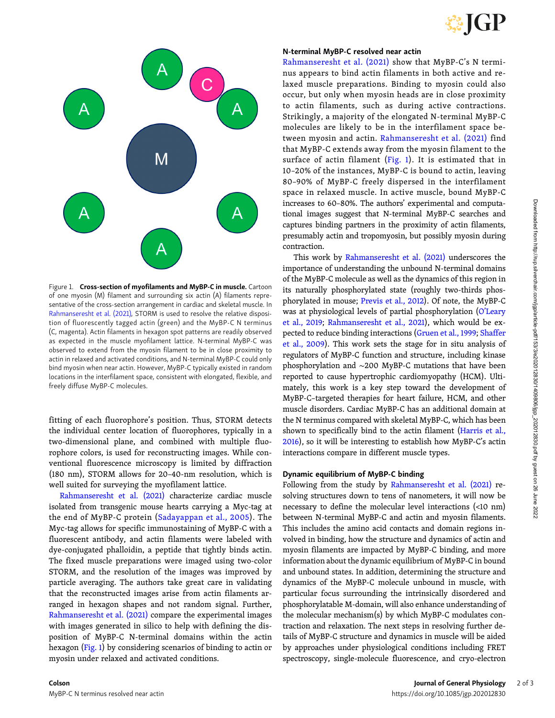

<span id="page-1-0"></span>

Figure 1. Cross-section of myofilaments and MyBP-C in muscle. Cartoon of one myosin (M) filament and surrounding six actin (A) filaments representative of the cross-section arrangement in cardiac and skeletal muscle. In [Rahmanseresht et al. \(2021\),](#page-2-0) STORM is used to resolve the relative disposition of fluorescently tagged actin (green) and the MyBP-C N terminus (C, magenta). Actin filaments in hexagon spot patterns are readily observed as expected in the muscle myofilament lattice. N-terminal MyBP-C was observed to extend from the myosin filament to be in close proximity to actin in relaxed and activated conditions, and N-terminal MyBP-C could only bind myosin when near actin. However, MyBP-C typically existed in random locations in the interfilament space, consistent with elongated, flexible, and freely diffuse MyBP-C molecules.

fitting of each fluorophore's position. Thus, STORM detects the individual center location of fluorophores, typically in a two-dimensional plane, and combined with multiple fluorophore colors, is used for reconstructing images. While conventional fluorescence microscopy is limited by diffraction (180 nm), STORM allows for 20–40-nm resolution, which is well suited for surveying the myofilament lattice.

[Rahmanseresht et al. \(2021\)](#page-2-0) characterize cardiac muscle isolated from transgenic mouse hearts carrying a Myc-tag at the end of MyBP-C protein [\(Sadayappan et al., 2005](#page-2-0)). The Myc-tag allows for specific immunostaining of MyBP-C with a fluorescent antibody, and actin filaments were labeled with dye-conjugated phalloidin, a peptide that tightly binds actin. The fixed muscle preparations were imaged using two-color STORM, and the resolution of the images was improved by particle averaging. The authors take great care in validating that the reconstructed images arise from actin filaments arranged in hexagon shapes and not random signal. Further, [Rahmanseresht et al. \(2021\)](#page-2-0) compare the experimental images with images generated in silico to help with defining the disposition of MyBP-C N-terminal domains within the actin hexagon (Fig. 1) by considering scenarios of binding to actin or myosin under relaxed and activated conditions.

#### N-terminal MyBP-C resolved near actin

[Rahmanseresht et al. \(2021\)](#page-2-0) show that MyBP-C's N terminus appears to bind actin filaments in both active and relaxed muscle preparations. Binding to myosin could also occur, but only when myosin heads are in close proximity to actin filaments, such as during active contractions. Strikingly, a majority of the elongated N-terminal MyBP-C molecules are likely to be in the interfilament space between myosin and actin. [Rahmanseresht et al. \(2021\)](#page-2-0) find that MyBP-C extends away from the myosin filament to the surface of actin filament  $(Fig. 1)$ . It is estimated that in 10–20% of the instances, MyBP-C is bound to actin, leaving 80–90% of MyBP-C freely dispersed in the interfilament space in relaxed muscle. In active muscle, bound MyBP-C increases to 60–80%. The authors' experimental and computational images suggest that N-terminal MyBP-C searches and captures binding partners in the proximity of actin filaments, presumably actin and tropomyosin, but possibly myosin during contraction.

This work by [Rahmanseresht et al. \(2021\)](#page-2-0) underscores the importance of understanding the unbound N-terminal domains of the MyBP-C molecule as well as the dynamics of this region in its naturally phosphorylated state (roughly two-thirds phosphorylated in mouse; [Previs et al., 2012\)](#page-2-0). Of note, the MyBP-C was at physiological levels of partial phosphorylation (O'[Leary](#page-2-0) [et al., 2019;](#page-2-0) [Rahmanseresht et al., 2021\)](#page-2-0), which would be expected to reduce binding interactions ([Gruen et al., 1999;](#page-2-0) [Shaffer](#page-2-0) [et al., 2009](#page-2-0)). This work sets the stage for in situ analysis of regulators of MyBP-C function and structure, including kinase phosphorylation and ∼200 MyBP-C mutations that have been reported to cause hypertrophic cardiomyopathy (HCM). Ultimately, this work is a key step toward the development of MyBP-C–targeted therapies for heart failure, HCM, and other muscle disorders. Cardiac MyBP-C has an additional domain at the N terminus compared with skeletal MyBP-C, which has been shown to specifically bind to the actin filament ([Harris et al.,](#page-2-0) [2016\)](#page-2-0), so it will be interesting to establish how MyBP-C's actin interactions compare in different muscle types.

## Dynamic equilibrium of MyBP-C binding

Following from the study by [Rahmanseresht et al. \(2021\)](#page-2-0) resolving structures down to tens of nanometers, it will now be necessary to define the molecular level interactions (<10 nm) between N-terminal MyBP-C and actin and myosin filaments. This includes the amino acid contacts and domain regions involved in binding, how the structure and dynamics of actin and myosin filaments are impacted by MyBP-C binding, and more information about the dynamic equilibrium of MyBP-C in bound and unbound states. In addition, determining the structure and dynamics of the MyBP-C molecule unbound in muscle, with particular focus surrounding the intrinsically disordered and phosphorylatable M-domain, will also enhance understanding of the molecular mechanism(s) by which MyBP-C modulates contraction and relaxation. The next steps in resolving further details of MyBP-C structure and dynamics in muscle will be aided by approaches under physiological conditions including FRET spectroscopy, single-molecule fluorescence, and cryo-electron